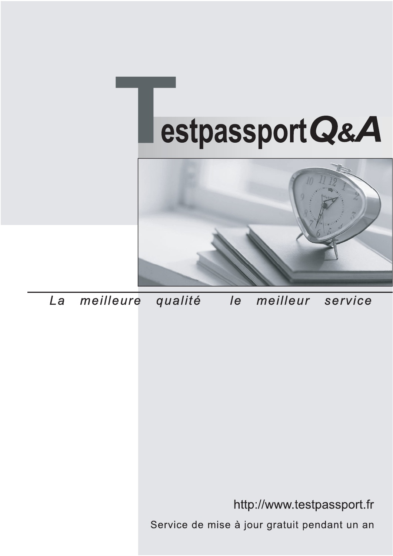



meilleure La qualité  $\overline{e}$ meilleur service

http://www.testpassport.fr

Service de mise à jour gratuit pendant un an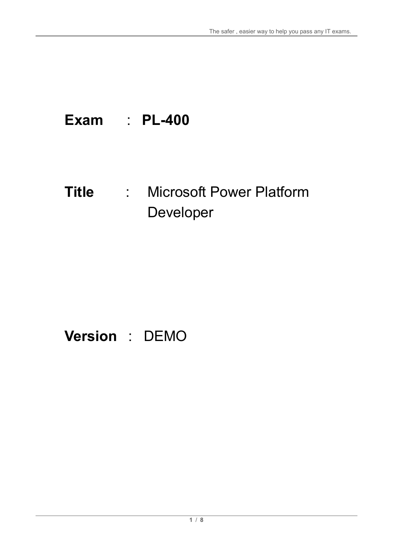# **Exam** : **PL-400**

# **Title** : Microsoft Power Platform Developer

# **Version** : DEMO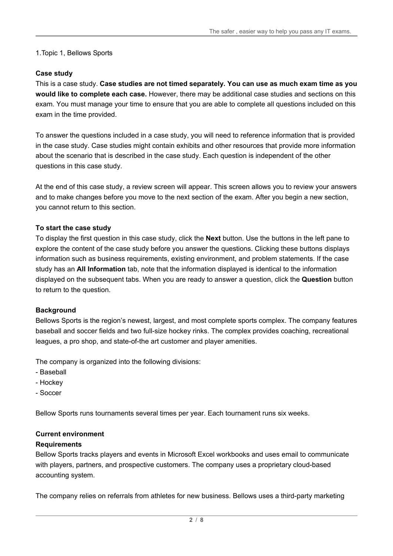#### 1.Topic 1, Bellows Sports

#### **Case study**

This is a case study. **Case studies are not timed separately. You can use as much exam time as you would like to complete each case.** However, there may be additional case studies and sections on this exam. You must manage your time to ensure that you are able to complete all questions included on this exam in the time provided.

To answer the questions included in a case study, you will need to reference information that is provided in the case study. Case studies might contain exhibits and other resources that provide more information about the scenario that is described in the case study. Each question is independent of the other questions in this case study.

At the end of this case study, a review screen will appear. This screen allows you to review your answers and to make changes before you move to the next section of the exam. After you begin a new section, you cannot return to this section.

#### **To start the case study**

To display the first question in this case study, click the **Next** button. Use the buttons in the left pane to explore the content of the case study before you answer the questions. Clicking these buttons displays information such as business requirements, existing environment, and problem statements. If the case study has an **All Information** tab, note that the information displayed is identical to the information displayed on the subsequent tabs. When you are ready to answer a question, click the **Question** button to return to the question.

#### **Background**

Bellows Sports is the region's newest, largest, and most complete sports complex. The company features baseball and soccer fields and two full-size hockey rinks. The complex provides coaching, recreational leagues, a pro shop, and state-of-the art customer and player amenities.

The company is organized into the following divisions:

- Baseball
- Hockey
- Soccer

Bellow Sports runs tournaments several times per year. Each tournament runs six weeks.

#### **Current environment**

#### **Requirements**

Bellow Sports tracks players and events in Microsoft Excel workbooks and uses email to communicate with players, partners, and prospective customers. The company uses a proprietary cloud-based accounting system.

The company relies on referrals from athletes for new business. Bellows uses a third-party marketing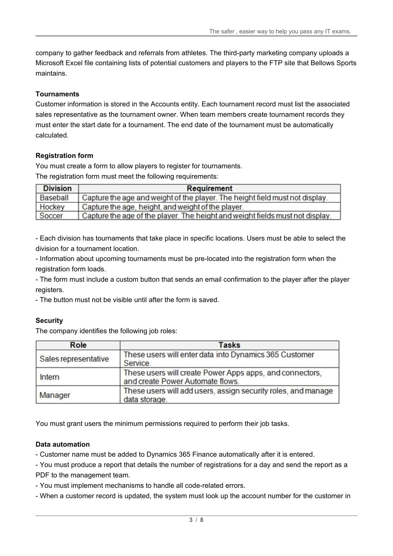company to gather feedback and referrals from athletes. The third-party marketing company uploads a Microsoft Excel file containing lists of potential customers and players to the FTP site that Bellows Sports maintains.

#### **Tournaments**

Customer information is stored in the Accounts entity. Each tournament record must list the associated sales representative as the tournament owner. When team members create tournament records they must enter the start date for a tournament. The end date of the tournament must be automatically calculated.

#### **Registration form**

You must create a form to allow players to register for tournaments. The registration form must meet the following requirements:

| <b>Division</b> | Requirement                                                                   |
|-----------------|-------------------------------------------------------------------------------|
| Baseball        | Capture the age and weight of the player. The height field must not display.  |
| Hockey          | Capture the age, height, and weight of the player.                            |
| Soccer          | Capture the age of the player. The height and weight fields must not display. |

- Each division has tournaments that take place in specific locations. Users must be able to select the division for a tournament location.

- Information about upcoming tournaments must be pre-located into the registration form when the registration form loads.

- The form must include a custom button that sends an email confirmation to the player after the player registers.

- The button must not be visible until after the form is saved.

#### **Security**

The company identifies the following job roles:

| Role                 | <b>Tasks</b>                                                                                 |  |
|----------------------|----------------------------------------------------------------------------------------------|--|
| Sales representative | These users will enter data into Dynamics 365 Customer<br>Service.                           |  |
| Intern               | These users will create Power Apps apps, and connectors,<br>and create Power Automate flows. |  |
| Manager              | These users will add users, assign security roles, and manage<br>data storage.               |  |

You must grant users the minimum permissions required to perform their job tasks.

#### **Data automation**

- Customer name must be added to Dynamics 365 Finance automatically after it is entered.

- You must produce a report that details the number of registrations for a day and send the report as a PDF to the management team.

- You must implement mechanisms to handle all code-related errors.

- When a customer record is updated, the system must look up the account number for the customer in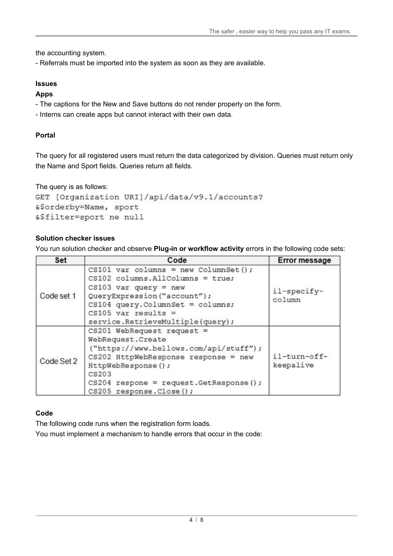the accounting system.

- Referrals must be imported into the system as soon as they are available.

# **Issues**

# **Apps**

- The captions for the New and Save buttons do not render properly on the form.
- Interns can create apps but cannot interact with their own data.

# **Portal**

The query for all registered users must return the data categorized by division. Queries must return only the Name and Sport fields. Queries return all fields.

```
The query is as follows: 
GET [Organization URI]/api/data/v9.1/accounts?
&$orderby=Name, sport
&$filter=sport ne null
```
# **Solution checker issues**

You run solution checker and observe **Plug-in or workflow activity** errors in the following code sets:

| <b>Set</b> | Code                                                                                                                                                                                                                                           | <b>Error message</b>      |
|------------|------------------------------------------------------------------------------------------------------------------------------------------------------------------------------------------------------------------------------------------------|---------------------------|
| Code set 1 | CS101 var columns = new ColumnSet();<br>$CS102$ columns. All Columns = true;<br>$CS103$ var query = new<br>QueryExpression("account");<br>$CS104$ query. ColumnSet = columns;<br>$CS105$ var results =<br>service.RetrieveMultiple(query);     | il-specify-<br>column     |
| Code Set 2 | $CS201$ WebRequest request =<br>WebRequest.Create<br>("https://www.bellows.com/api/stuff");<br>$CS202$ HttpWebResponse response = new<br>HttpWebResponse();<br>CS203<br>$CS204$ respone = request. GetResponse();<br>CS205 response. Close (); | il-turn-off-<br>keepalive |

# **Code**

The following code runs when the registration form loads.

You must implement a mechanism to handle errors that occur in the code: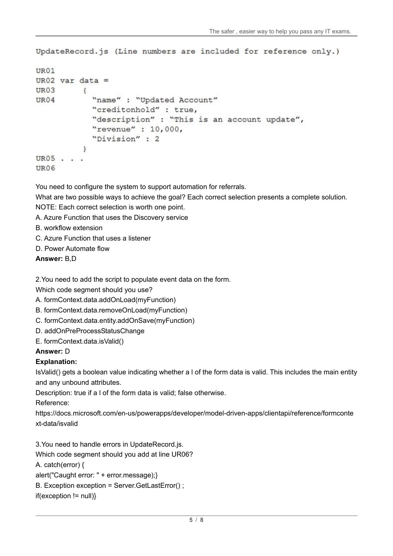```
UpdateRecord.js (Line numbers are included for reference only.)
```

```
UR01
UR02 var data =
UR03
           \overline{\mathbf{f}}"name" : "Updated Account"
UR04
             "creditonhold" : true,
             "description" : "This is an account update",
             "revenue" : 10,000,
             "Division" : 2
           ł
UR05 . . .
UR06
```
You need to configure the system to support automation for referrals.

What are two possible ways to achieve the goal? Each correct selection presents a complete solution.

- NOTE: Each correct selection is worth one point.
- A. Azure Function that uses the Discovery service
- B. workflow extension
- C. Azure Function that uses a listener
- D. Power Automate flow

# **Answer:** B,D

2.You need to add the script to populate event data on the form.

Which code segment should you use?

- A. formContext.data.addOnLoad(myFunction)
- B. formContext.data.removeOnLoad(myFunction)
- C. formContext.data.entity.addOnSave(myFunction)
- D. addOnPreProcessStatusChange
- E. formContext.data.isValid()

# **Answer:** D

# **Explanation:**

IsValid() gets a boolean value indicating whether a l of the form data is valid. This includes the main entity and any unbound attributes.

Description: true if a l of the form data is valid; false otherwise.

Reference:

https://docs.microsoft.com/en-us/powerapps/developer/model-driven-apps/clientapi/reference/formconte xt-data/isvalid

3.You need to handle errors in UpdateRecord.js.

Which code segment should you add at line UR06?

A. catch(error) {

alert("Caught error: " + error.message);}

B. Exception exception = Server.GetLastError() ;

 $if(exception != null)$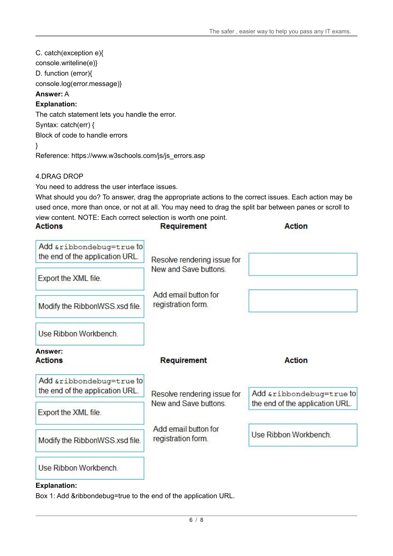C. catch(exception e){ console.writeline(e)} D. function (error){ console.log(error.message)} **Answer:** A **Explanation:** The catch statement lets you handle the error. Syntax: catch(err) { Block of code to handle errors }

Reference: https://www.w3schools.com/js/js\_errors.asp

## 4.DRAG DROP

You need to address the user interface issues.

What should you do? To answer, drag the appropriate actions to the correct issues. Each action may be used once, more than once, or not at all. You may need to drag the split bar between panes or scroll to view content. NOTE: Each correct selection is worth one point.

| <b>Actions</b>                                              | Requirement                                          | <b>Action</b>                   |
|-------------------------------------------------------------|------------------------------------------------------|---------------------------------|
| Add &ribbondebug=true to<br>the end of the application URL. | Resolve rendering issue for<br>New and Save buttons. |                                 |
| Export the XML file.                                        |                                                      |                                 |
| Modify the RibbonWSS.xsd file.                              | Add email button for<br>registration form.           |                                 |
| Use Ribbon Workbench.                                       |                                                      |                                 |
| Answer:<br><b>Actions</b>                                   | Requirement                                          | <b>Action</b>                   |
| Add &ribbondebug=true to<br>the end of the application URL. | Resolve rendering issue for                          | Add &ribbondebug=true to        |
| Export the XML file.                                        | New and Save buttons.                                | the end of the application URL. |
| Modify the RibbonWSS.xsd file.                              | Add email button for<br>registration form.           | Use Ribbon Workbench.           |
| Use Ribbon Workbench.                                       |                                                      |                                 |

#### **Explanation:**

Box 1: Add &ribbondebug=true to the end of the application URL.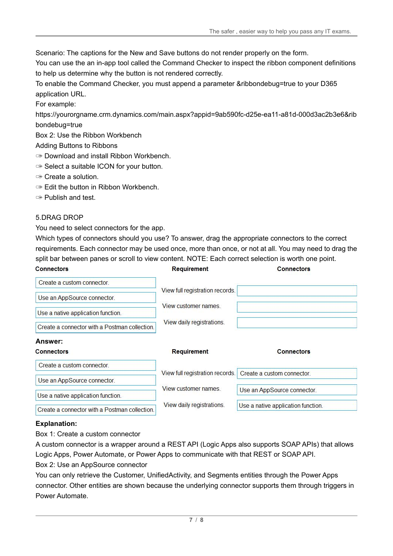Scenario: The captions for the New and Save buttons do not render properly on the form.

You can use the an in-app tool called the Command Checker to inspect the ribbon component definitions to help us determine why the button is not rendered correctly.

To enable the Command Checker, you must append a parameter &ribbondebug=true to your D365 application URL.

For example:

https://yourorgname.crm.dynamics.com/main.aspx?appid=9ab590fc-d25e-ea11-a81d-000d3ac2b3e6&rib bondebug=true

Box 2: Use the Ribbon Workbench

Adding Buttons to Ribbons

- ✑ Download and install Ribbon Workbench.
- ✑ Select a suitable ICON for your button.
- ✑ Create a solution.
- ✑ Edit the button in Ribbon Workbench.
- ✑ Publish and test.

## 5.DRAG DROP

You need to select connectors for the app.

Which types of connectors should you use? To answer, drag the appropriate connectors to the correct requirements. Each connector may be used once, more than once, or not at all. You may need to drag the split bar between panes or scroll to view content. NOTE: Each correct selection is worth one point. **Connectors Connectors** Requirement

| Create a custom connector.                                         |                                 |                             |
|--------------------------------------------------------------------|---------------------------------|-----------------------------|
| Use an AppSource connector.                                        | View full registration records. |                             |
| Use a native application function.                                 | View customer names             |                             |
| Create a connector with a Postman collection.                      | View daily registrations.       |                             |
|                                                                    |                                 |                             |
|                                                                    |                                 |                             |
|                                                                    | <b>Requirement</b>              | <b>Connectors</b>           |
| Create a custom connector.                                         |                                 |                             |
| Use an AppSource connector.                                        | View full registration records. | Create a custom connector.  |
| Answer:<br><b>Connectors</b><br>Use a native application function. | View customer names             | Use an AppSource connector. |

## **Explanation:**

Box 1: Create a custom connector

A custom connector is a wrapper around a REST API (Logic Apps also supports SOAP APIs) that allows Logic Apps, Power Automate, or Power Apps to communicate with that REST or SOAP API.

Box 2: Use an AppSource connector

You can only retrieve the Customer, UnifiedActivity, and Segments entities through the Power Apps connector. Other entities are shown because the underlying connector supports them through triggers in Power Automate.